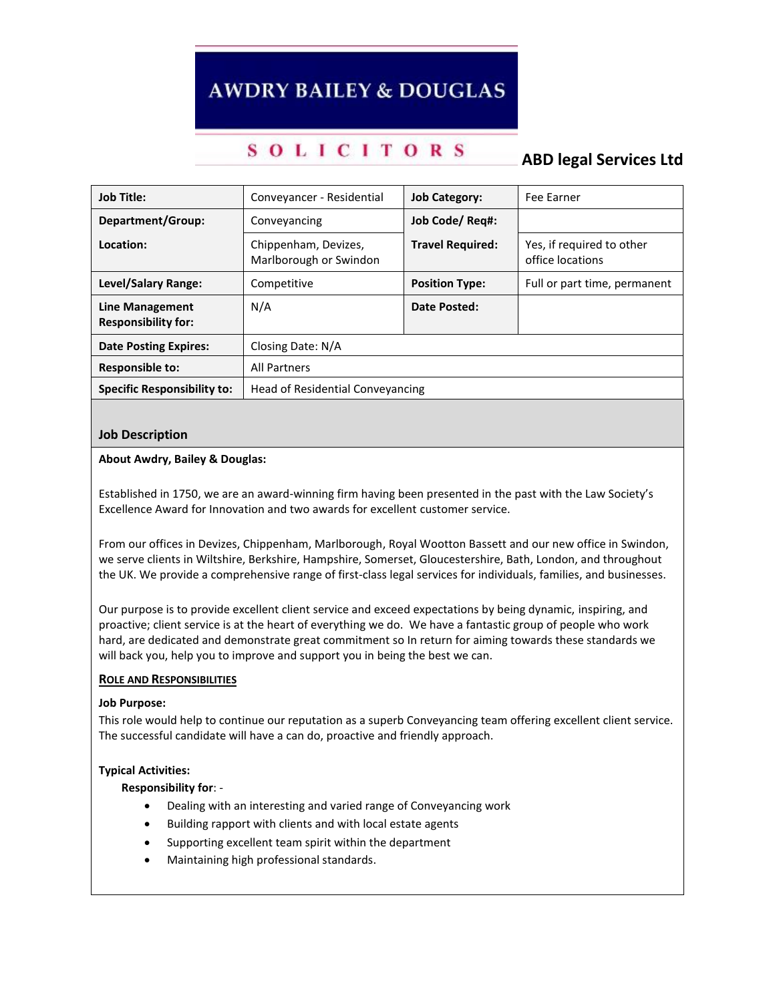# **AWDRY BAILEY & DOUGLAS**

## **SOLICITORS**

## **ABD legal Services Ltd**

| <b>Job Title:</b>                             | Conveyancer - Residential                      | <b>Job Category:</b>    | Fee Earner                                    |
|-----------------------------------------------|------------------------------------------------|-------------------------|-----------------------------------------------|
| Department/Group:                             | Conveyancing                                   | Job Code/ Reg#:         |                                               |
| Location:                                     | Chippenham, Devizes,<br>Marlborough or Swindon | <b>Travel Required:</b> | Yes, if required to other<br>office locations |
| <b>Level/Salary Range:</b>                    | Competitive                                    | <b>Position Type:</b>   | Full or part time, permanent                  |
| Line Management<br><b>Responsibility for:</b> | N/A                                            | Date Posted:            |                                               |
| <b>Date Posting Expires:</b>                  | Closing Date: N/A                              |                         |                                               |
| <b>Responsible to:</b>                        | <b>All Partners</b>                            |                         |                                               |
| <b>Specific Responsibility to:</b>            | Head of Residential Conveyancing               |                         |                                               |

## **Job Description**

## **About Awdry, Bailey & Douglas:**

Established in 1750, we are an award-winning firm having been presented in the past with the Law Society's Excellence Award for Innovation and two awards for excellent customer service.

From our offices in Devizes, Chippenham, Marlborough, Royal Wootton Bassett and our new office in Swindon, we serve clients in Wiltshire, Berkshire, Hampshire, Somerset, Gloucestershire, Bath, London, and throughout the UK. We provide a comprehensive range of first-class legal services for individuals, families, and businesses.

Our purpose is to provide excellent client service and exceed expectations by being dynamic, inspiring, and proactive; client service is at the heart of everything we do. We have a fantastic group of people who work hard, are dedicated and demonstrate great commitment so In return for aiming towards these standards we will back you, help you to improve and support you in being the best we can.

## **ROLE AND RESPONSIBILITIES**

#### **Job Purpose:**

This role would help to continue our reputation as a superb Conveyancing team offering excellent client service. The successful candidate will have a can do, proactive and friendly approach.

#### **Typical Activities:**

#### **Responsibility for**: -

- Dealing with an interesting and varied range of Conveyancing work
- Building rapport with clients and with local estate agents
- Supporting excellent team spirit within the department
- Maintaining high professional standards.